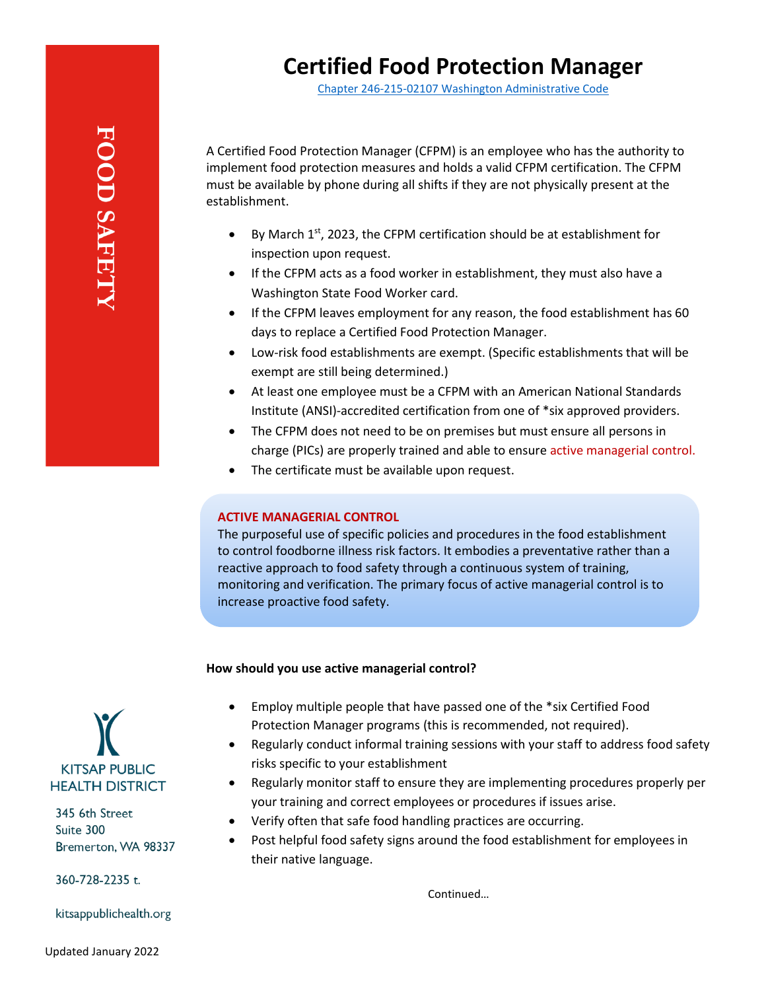Chapter 246-215-02107 [Washington Administrative Code](https://apps.leg.wa.gov/wac/default.aspx?cite=246-215-02107)

A Certified Food Protection Manager (CFPM) is an employee who has the authority to implement food protection measures and holds a valid CFPM certification. The CFPM must be available by phone during all shifts if they are not physically present at the establishment.

- By March  $1<sup>st</sup>$ , 2023, the CFPM certification should be at establishment for inspection upon request.
- If the CFPM acts as a food worker in establishment, they must also have a Washington State Food Worker card.
- If the CFPM leaves employment for any reason, the food establishment has 60 days to replace a Certified Food Protection Manager.
- Low-risk food establishments are exempt. (Specific establishments that will be exempt are still being determined.)
- At least one employee must be a CFPM with an American National Standards Institute (ANSI)-accredited certification from one of \*six approved providers.
- The CFPM does not need to be on premises but must ensure all persons in charge (PICs) are properly trained and able to ensure active managerial control.
- The certificate must be available upon request.

## **ACTIVE MANAGERIAL CONTROL**

The purposeful use of specific policies and procedures in the food establishment to control foodborne illness risk factors. It embodies a preventative rather than a reactive approach to food safety through a continuous system of training, monitoring and verification. The primary focus of active managerial control is to increase proactive food safety.

## **How should you use active managerial control?**

- Employ multiple people that have passed one of the \*six Certified Food Protection Manager programs (this is recommended, not required).
- Regularly conduct informal training sessions with your staff to address food safety risks specific to your establishment
- Regularly monitor staff to ensure they are implementing procedures properly per your training and correct employees or procedures if issues arise.
- Verify often that safe food handling practices are occurring.
- Post helpful food safety signs around the food establishment for employees in their native language.

Continued…



345 6th Street Suite 300 Bremerton, WA 98337

360-728-2235 t.

kitsappublichealth.org